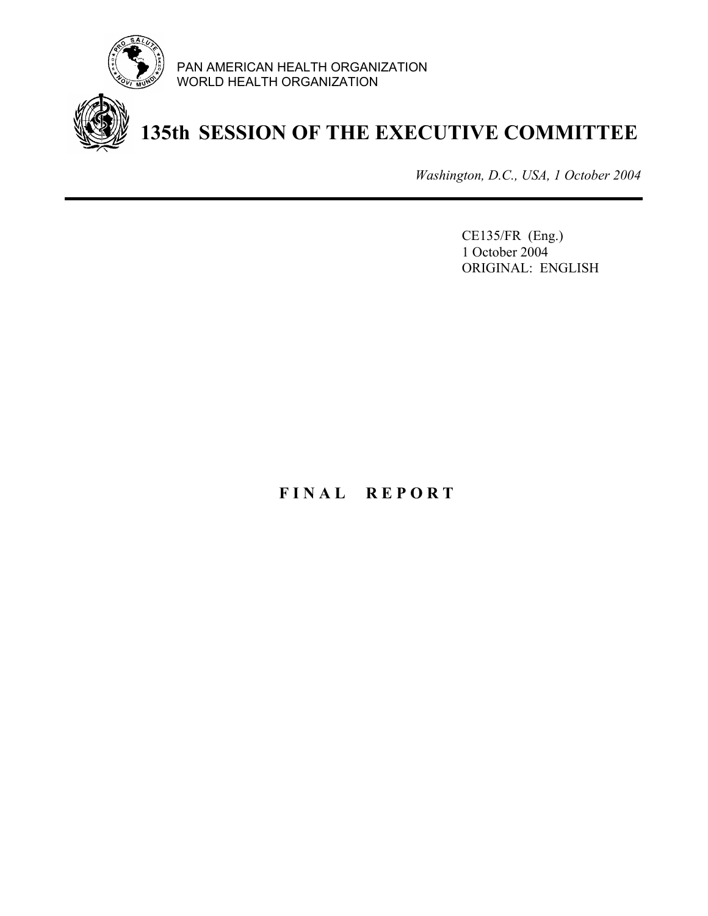

PAN AMERICAN HEALTH ORGANIZATION WORLD HEALTH ORGANIZATION



# **135th SESSION OF THE EXECUTIVE COMMITTEE**

*Washington, D.C., USA, 1 October 2004*

CE135/FR (Eng.) 1 October 2004 ORIGINAL: ENGLISH

## **F I N A L R E P O R T**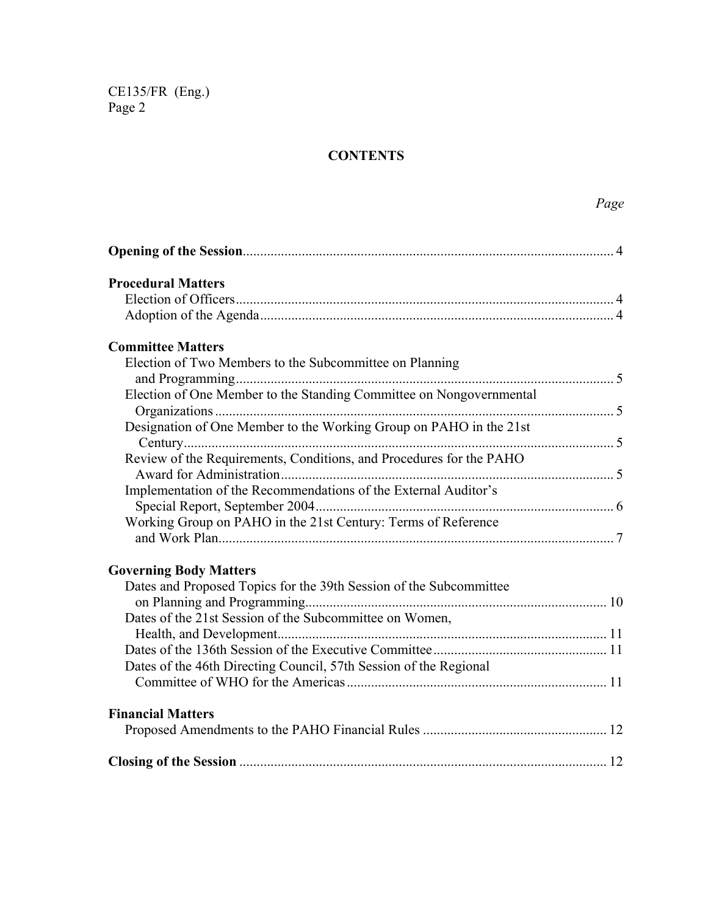## **CONTENTS**

|                                                                     | Page |
|---------------------------------------------------------------------|------|
|                                                                     |      |
| <b>Procedural Matters</b>                                           |      |
|                                                                     |      |
|                                                                     |      |
| <b>Committee Matters</b>                                            |      |
| Election of Two Members to the Subcommittee on Planning             |      |
|                                                                     |      |
| Election of One Member to the Standing Committee on Nongovernmental |      |
|                                                                     |      |
| Designation of One Member to the Working Group on PAHO in the 21st  |      |
|                                                                     |      |
| Review of the Requirements, Conditions, and Procedures for the PAHO |      |
|                                                                     |      |
| Implementation of the Recommendations of the External Auditor's     |      |
|                                                                     |      |
| Working Group on PAHO in the 21st Century: Terms of Reference       |      |
| <b>Governing Body Matters</b>                                       |      |
| Dates and Proposed Topics for the 39th Session of the Subcommittee  |      |
|                                                                     |      |
| Dates of the 21st Session of the Subcommittee on Women,             |      |
|                                                                     |      |
|                                                                     |      |
| Dates of the 46th Directing Council, 57th Session of the Regional   |      |
|                                                                     |      |
| <b>Financial Matters</b>                                            |      |
|                                                                     |      |
|                                                                     |      |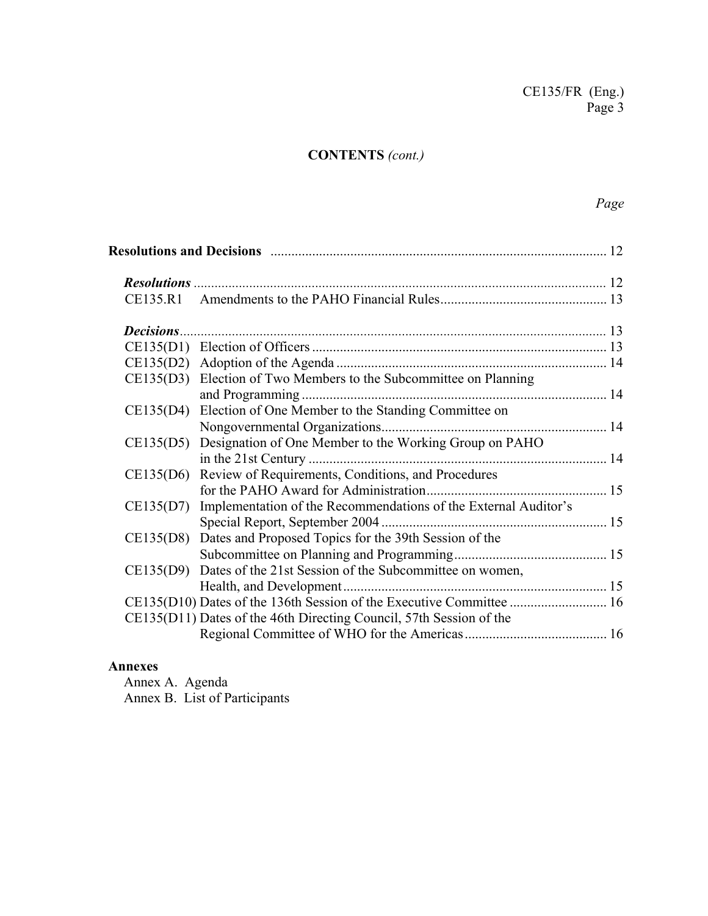## **CONTENTS** *(cont.)*

## *Page*

|  | CE135(D3) Election of Two Members to the Subcommittee on Planning         |  |
|--|---------------------------------------------------------------------------|--|
|  |                                                                           |  |
|  | CE135(D4) Election of One Member to the Standing Committee on             |  |
|  |                                                                           |  |
|  | CE135(D5) Designation of One Member to the Working Group on PAHO          |  |
|  |                                                                           |  |
|  | CE135(D6) Review of Requirements, Conditions, and Procedures              |  |
|  |                                                                           |  |
|  | CE135(D7) Implementation of the Recommendations of the External Auditor's |  |
|  |                                                                           |  |
|  | CE135(D8) Dates and Proposed Topics for the 39th Session of the           |  |
|  |                                                                           |  |
|  | CE135(D9) Dates of the 21st Session of the Subcommittee on women,         |  |
|  |                                                                           |  |
|  |                                                                           |  |
|  | CE135(D11) Dates of the 46th Directing Council, 57th Session of the       |  |
|  |                                                                           |  |

## **Annexes**

Annex A. Agenda Annex B. List of Participants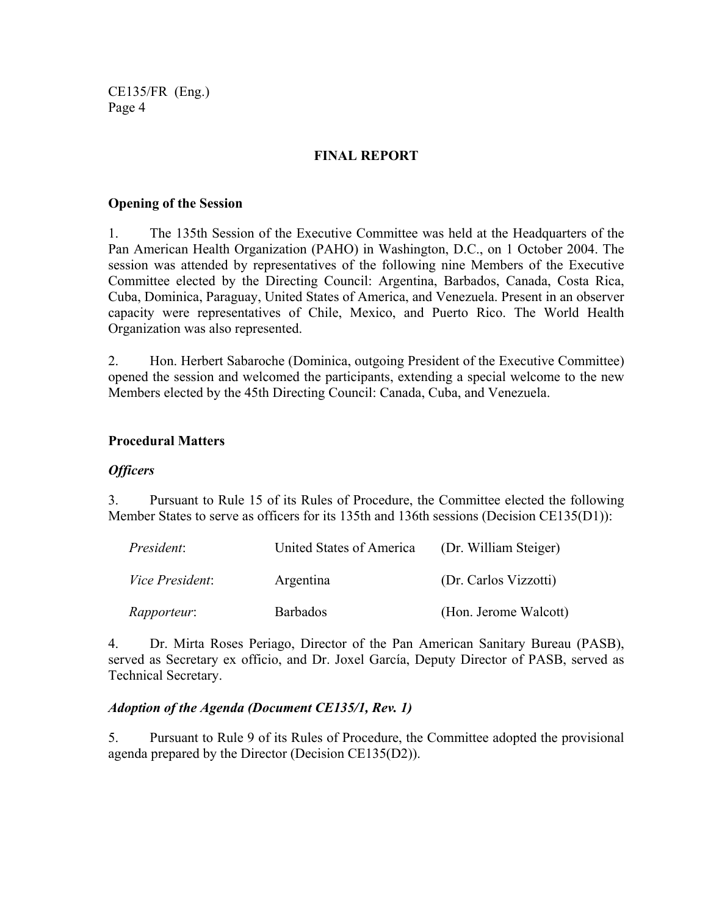## **FINAL REPORT**

#### **Opening of the Session**

1. The 135th Session of the Executive Committee was held at the Headquarters of the Pan American Health Organization (PAHO) in Washington, D.C., on 1 October 2004. The session was attended by representatives of the following nine Members of the Executive Committee elected by the Directing Council: Argentina, Barbados, Canada, Costa Rica, Cuba, Dominica, Paraguay, United States of America, and Venezuela. Present in an observer capacity were representatives of Chile, Mexico, and Puerto Rico. The World Health Organization was also represented.

2. Hon. Herbert Sabaroche (Dominica, outgoing President of the Executive Committee) opened the session and welcomed the participants, extending a special welcome to the new Members elected by the 45th Directing Council: Canada, Cuba, and Venezuela.

#### **Procedural Matters**

#### *Officers*

3. Pursuant to Rule 15 of its Rules of Procedure, the Committee elected the following Member States to serve as officers for its 135th and 136th sessions (Decision CE135(D1)):

| President:             | United States of America | (Dr. William Steiger) |
|------------------------|--------------------------|-----------------------|
| <i>Vice President:</i> | Argentina                | (Dr. Carlos Vizzotti) |
| <i>Rapporteur:</i>     | <b>Barbados</b>          | (Hon. Jerome Walcott) |

4. Dr. Mirta Roses Periago, Director of the Pan American Sanitary Bureau (PASB), served as Secretary ex officio, and Dr. Joxel García, Deputy Director of PASB, served as Technical Secretary.

#### *Adoption of the Agenda (Document CE135/1, Rev. 1)*

5. Pursuant to Rule 9 of its Rules of Procedure, the Committee adopted the provisional agenda prepared by the Director (Decision CE135(D2)).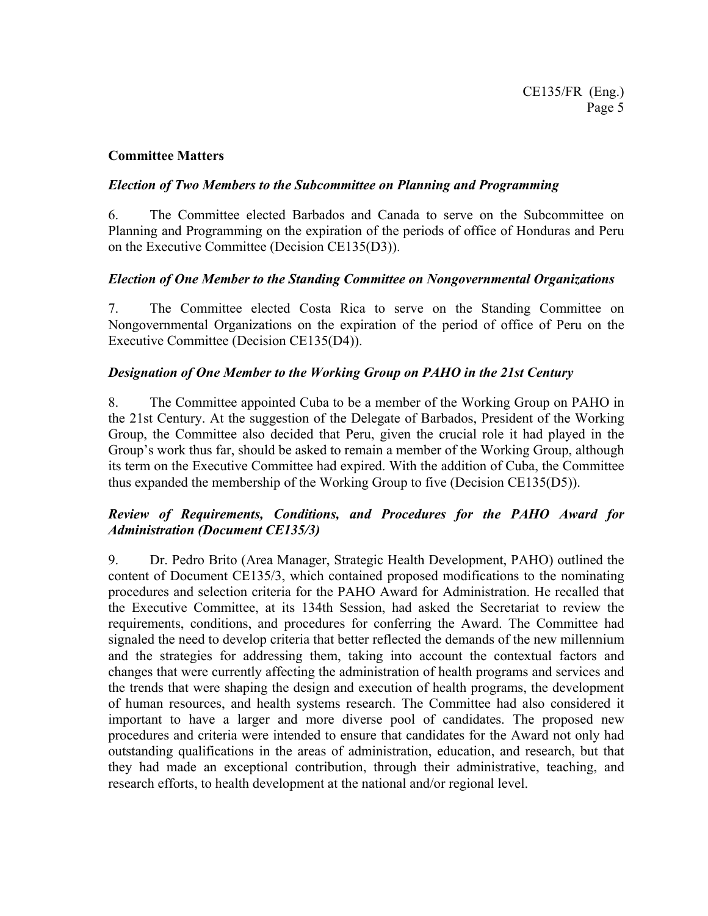## **Committee Matters**

## *Election of Two Members to the Subcommittee on Planning and Programming*

6. The Committee elected Barbados and Canada to serve on the Subcommittee on Planning and Programming on the expiration of the periods of office of Honduras and Peru on the Executive Committee (Decision CE135(D3)).

## *Election of One Member to the Standing Committee on Nongovernmental Organizations*

7. The Committee elected Costa Rica to serve on the Standing Committee on Nongovernmental Organizations on the expiration of the period of office of Peru on the Executive Committee (Decision CE135(D4)).

## *Designation of One Member to the Working Group on PAHO in the 21st Century*

8. The Committee appointed Cuba to be a member of the Working Group on PAHO in the 21st Century. At the suggestion of the Delegate of Barbados, President of the Working Group, the Committee also decided that Peru, given the crucial role it had played in the Group's work thus far, should be asked to remain a member of the Working Group, although its term on the Executive Committee had expired. With the addition of Cuba, the Committee thus expanded the membership of the Working Group to five (Decision CE135(D5)).

## *Review of Requirements, Conditions, and Procedures for the PAHO Award for Administration (Document CE135/3)*

9. Dr. Pedro Brito (Area Manager, Strategic Health Development, PAHO) outlined the content of Document CE135/3, which contained proposed modifications to the nominating procedures and selection criteria for the PAHO Award for Administration. He recalled that the Executive Committee, at its 134th Session, had asked the Secretariat to review the requirements, conditions, and procedures for conferring the Award. The Committee had signaled the need to develop criteria that better reflected the demands of the new millennium and the strategies for addressing them, taking into account the contextual factors and changes that were currently affecting the administration of health programs and services and the trends that were shaping the design and execution of health programs, the development of human resources, and health systems research. The Committee had also considered it important to have a larger and more diverse pool of candidates. The proposed new procedures and criteria were intended to ensure that candidates for the Award not only had outstanding qualifications in the areas of administration, education, and research, but that they had made an exceptional contribution, through their administrative, teaching, and research efforts, to health development at the national and/or regional level.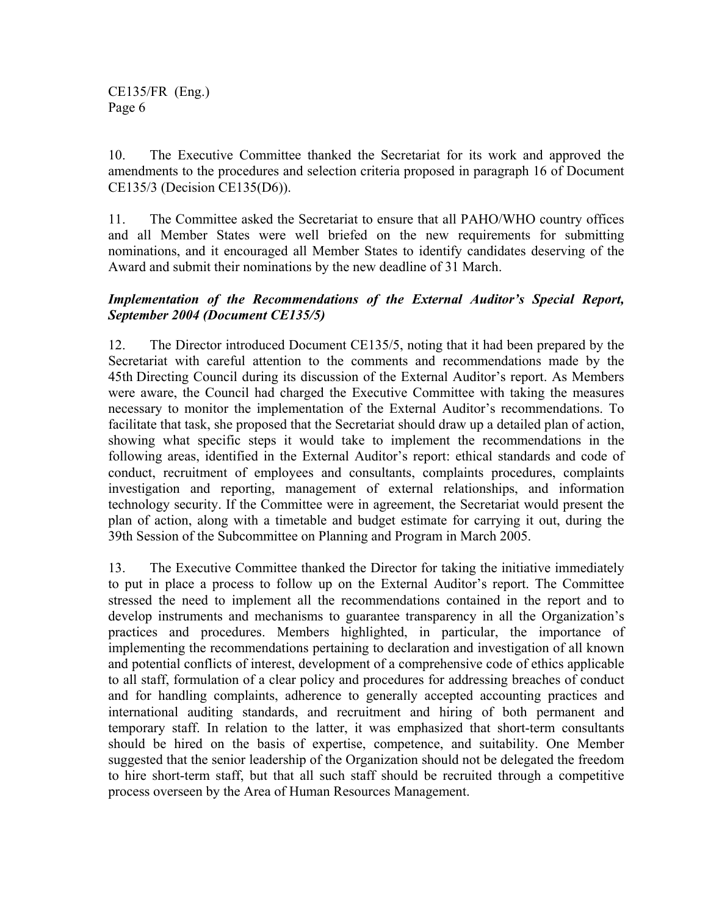10. The Executive Committee thanked the Secretariat for its work and approved the amendments to the procedures and selection criteria proposed in paragraph 16 of Document CE135/3 (Decision CE135(D6)).

11. The Committee asked the Secretariat to ensure that all PAHO/WHO country offices and all Member States were well briefed on the new requirements for submitting nominations, and it encouraged all Member States to identify candidates deserving of the Award and submit their nominations by the new deadline of 31 March.

## *Implementation of the Recommendations of the External Auditor's Special Report, September 2004 (Document CE135/5)*

12. The Director introduced Document CE135/5, noting that it had been prepared by the Secretariat with careful attention to the comments and recommendations made by the 45th Directing Council during its discussion of the External Auditor's report. As Members were aware, the Council had charged the Executive Committee with taking the measures necessary to monitor the implementation of the External Auditor's recommendations. To facilitate that task, she proposed that the Secretariat should draw up a detailed plan of action, showing what specific steps it would take to implement the recommendations in the following areas, identified in the External Auditor's report: ethical standards and code of conduct, recruitment of employees and consultants, complaints procedures, complaints investigation and reporting, management of external relationships, and information technology security. If the Committee were in agreement, the Secretariat would present the plan of action, along with a timetable and budget estimate for carrying it out, during the 39th Session of the Subcommittee on Planning and Program in March 2005.

13. The Executive Committee thanked the Director for taking the initiative immediately to put in place a process to follow up on the External Auditor's report. The Committee stressed the need to implement all the recommendations contained in the report and to develop instruments and mechanisms to guarantee transparency in all the Organization's practices and procedures. Members highlighted, in particular, the importance of implementing the recommendations pertaining to declaration and investigation of all known and potential conflicts of interest, development of a comprehensive code of ethics applicable to all staff, formulation of a clear policy and procedures for addressing breaches of conduct and for handling complaints, adherence to generally accepted accounting practices and international auditing standards, and recruitment and hiring of both permanent and temporary staff. In relation to the latter, it was emphasized that short-term consultants should be hired on the basis of expertise, competence, and suitability. One Member suggested that the senior leadership of the Organization should not be delegated the freedom to hire short-term staff, but that all such staff should be recruited through a competitive process overseen by the Area of Human Resources Management.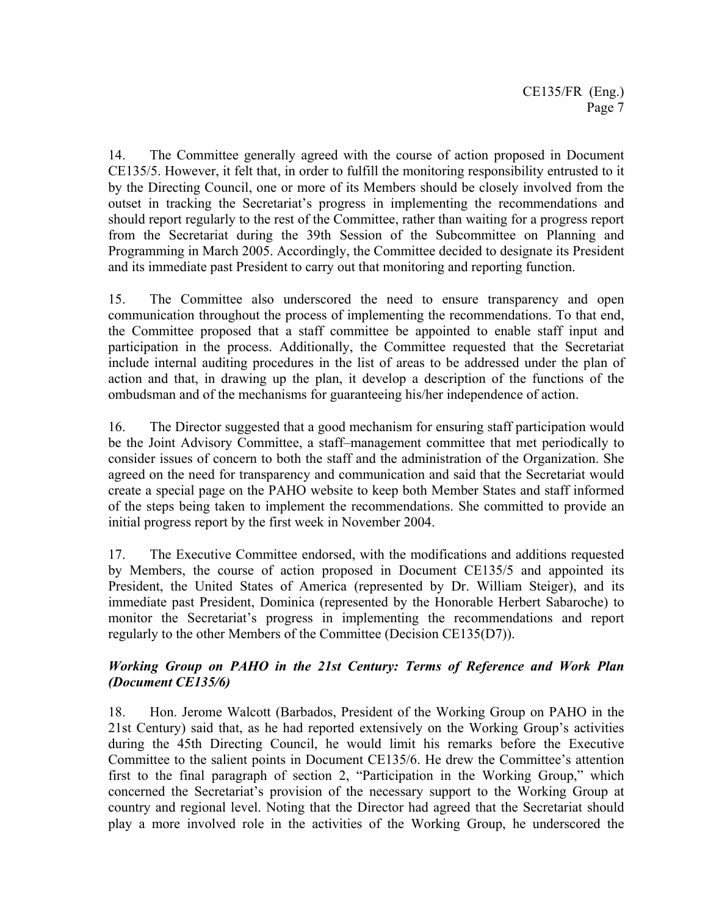14. The Committee generally agreed with the course of action proposed in Document CE135/5. However, it felt that, in order to fulfill the monitoring responsibility entrusted to it by the Directing Council, one or more of its Members should be closely involved from the outset in tracking the Secretariat's progress in implementing the recommendations and should report regularly to the rest of the Committee, rather than waiting for a progress report from the Secretariat during the 39th Session of the Subcommittee on Planning and Programming in March 2005. Accordingly, the Committee decided to designate its President and its immediate past President to carry out that monitoring and reporting function.

15. The Committee also underscored the need to ensure transparency and open communication throughout the process of implementing the recommendations. To that end, the Committee proposed that a staff committee be appointed to enable staff input and participation in the process. Additionally, the Committee requested that the Secretariat include internal auditing procedures in the list of areas to be addressed under the plan of action and that, in drawing up the plan, it develop a description of the functions of the ombudsman and of the mechanisms for guaranteeing his/her independence of action.

16. The Director suggested that a good mechanism for ensuring staff participation would be the Joint Advisory Committee, a staff–management committee that met periodically to consider issues of concern to both the staff and the administration of the Organization. She agreed on the need for transparency and communication and said that the Secretariat would create a special page on the PAHO website to keep both Member States and staff informed of the steps being taken to implement the recommendations. She committed to provide an initial progress report by the first week in November 2004.

17. The Executive Committee endorsed, with the modifications and additions requested by Members, the course of action proposed in Document CE135/5 and appointed its President, the United States of America (represented by Dr. William Steiger), and its immediate past President, Dominica (represented by the Honorable Herbert Sabaroche) to monitor the Secretariat's progress in implementing the recommendations and report regularly to the other Members of the Committee (Decision CE135(D7)).

## *Working Group on PAHO in the 21st Century: Terms of Reference and Work Plan (Document CE135/6)*

18. Hon. Jerome Walcott (Barbados, President of the Working Group on PAHO in the 21st Century) said that, as he had reported extensively on the Working Group's activities during the 45th Directing Council, he would limit his remarks before the Executive Committee to the salient points in Document CE135/6. He drew the Committee's attention first to the final paragraph of section 2, "Participation in the Working Group," which concerned the Secretariat's provision of the necessary support to the Working Group at country and regional level. Noting that the Director had agreed that the Secretariat should play a more involved role in the activities of the Working Group, he underscored the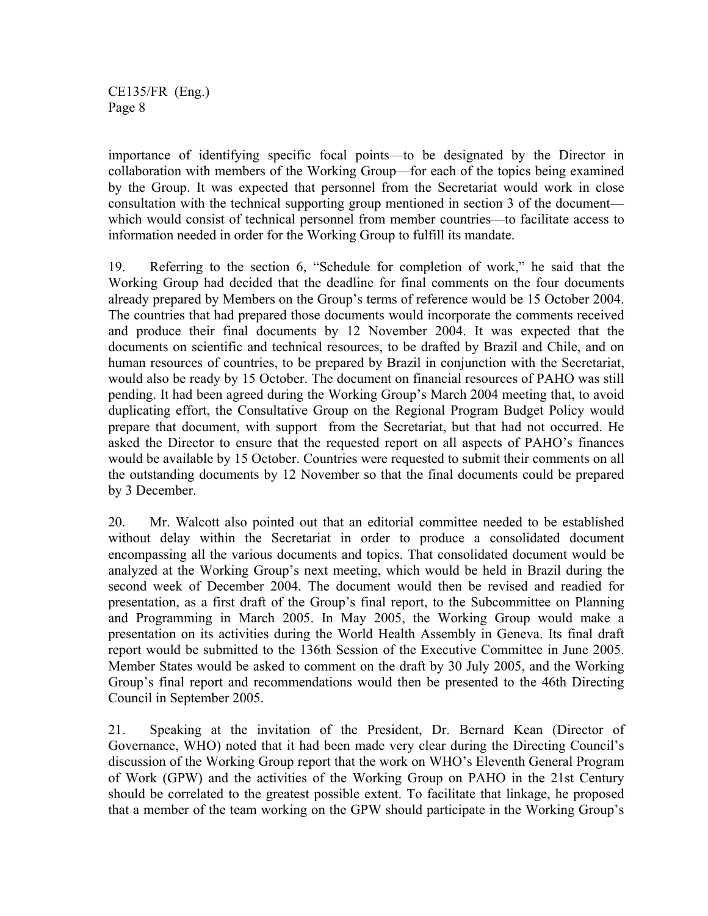importance of identifying specific focal points—to be designated by the Director in collaboration with members of the Working Group—for each of the topics being examined by the Group. It was expected that personnel from the Secretariat would work in close consultation with the technical supporting group mentioned in section 3 of the document which would consist of technical personnel from member countries—to facilitate access to information needed in order for the Working Group to fulfill its mandate.

19. Referring to the section 6, "Schedule for completion of work," he said that the Working Group had decided that the deadline for final comments on the four documents already prepared by Members on the Group's terms of reference would be 15 October 2004. The countries that had prepared those documents would incorporate the comments received and produce their final documents by 12 November 2004. It was expected that the documents on scientific and technical resources, to be drafted by Brazil and Chile, and on human resources of countries, to be prepared by Brazil in conjunction with the Secretariat, would also be ready by 15 October. The document on financial resources of PAHO was still pending. It had been agreed during the Working Group's March 2004 meeting that, to avoid duplicating effort, the Consultative Group on the Regional Program Budget Policy would prepare that document, with support from the Secretariat, but that had not occurred. He asked the Director to ensure that the requested report on all aspects of PAHO's finances would be available by 15 October. Countries were requested to submit their comments on all the outstanding documents by 12 November so that the final documents could be prepared by 3 December.

20. Mr. Walcott also pointed out that an editorial committee needed to be established without delay within the Secretariat in order to produce a consolidated document encompassing all the various documents and topics. That consolidated document would be analyzed at the Working Group's next meeting, which would be held in Brazil during the second week of December 2004. The document would then be revised and readied for presentation, as a first draft of the Group's final report, to the Subcommittee on Planning and Programming in March 2005. In May 2005, the Working Group would make a presentation on its activities during the World Health Assembly in Geneva. Its final draft report would be submitted to the 136th Session of the Executive Committee in June 2005. Member States would be asked to comment on the draft by 30 July 2005, and the Working Group's final report and recommendations would then be presented to the 46th Directing Council in September 2005.

21. Speaking at the invitation of the President, Dr. Bernard Kean (Director of Governance, WHO) noted that it had been made very clear during the Directing Council's discussion of the Working Group report that the work on WHO's Eleventh General Program of Work (GPW) and the activities of the Working Group on PAHO in the 21st Century should be correlated to the greatest possible extent. To facilitate that linkage, he proposed that a member of the team working on the GPW should participate in the Working Group's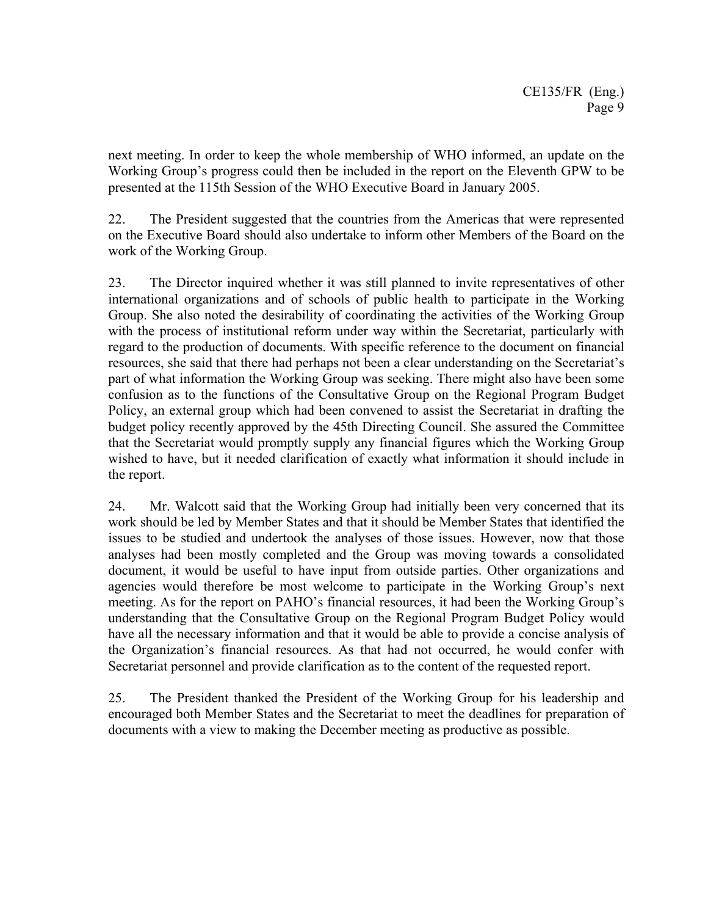next meeting. In order to keep the whole membership of WHO informed, an update on the Working Group's progress could then be included in the report on the Eleventh GPW to be presented at the 115th Session of the WHO Executive Board in January 2005.

22. The President suggested that the countries from the Americas that were represented on the Executive Board should also undertake to inform other Members of the Board on the work of the Working Group.

23. The Director inquired whether it was still planned to invite representatives of other international organizations and of schools of public health to participate in the Working Group. She also noted the desirability of coordinating the activities of the Working Group with the process of institutional reform under way within the Secretariat, particularly with regard to the production of documents. With specific reference to the document on financial resources, she said that there had perhaps not been a clear understanding on the Secretariat's part of what information the Working Group was seeking. There might also have been some confusion as to the functions of the Consultative Group on the Regional Program Budget Policy, an external group which had been convened to assist the Secretariat in drafting the budget policy recently approved by the 45th Directing Council. She assured the Committee that the Secretariat would promptly supply any financial figures which the Working Group wished to have, but it needed clarification of exactly what information it should include in the report.

24. Mr. Walcott said that the Working Group had initially been very concerned that its work should be led by Member States and that it should be Member States that identified the issues to be studied and undertook the analyses of those issues. However, now that those analyses had been mostly completed and the Group was moving towards a consolidated document, it would be useful to have input from outside parties. Other organizations and agencies would therefore be most welcome to participate in the Working Group's next meeting. As for the report on PAHO's financial resources, it had been the Working Group's understanding that the Consultative Group on the Regional Program Budget Policy would have all the necessary information and that it would be able to provide a concise analysis of the Organization's financial resources. As that had not occurred, he would confer with Secretariat personnel and provide clarification as to the content of the requested report.

25. The President thanked the President of the Working Group for his leadership and encouraged both Member States and the Secretariat to meet the deadlines for preparation of documents with a view to making the December meeting as productive as possible.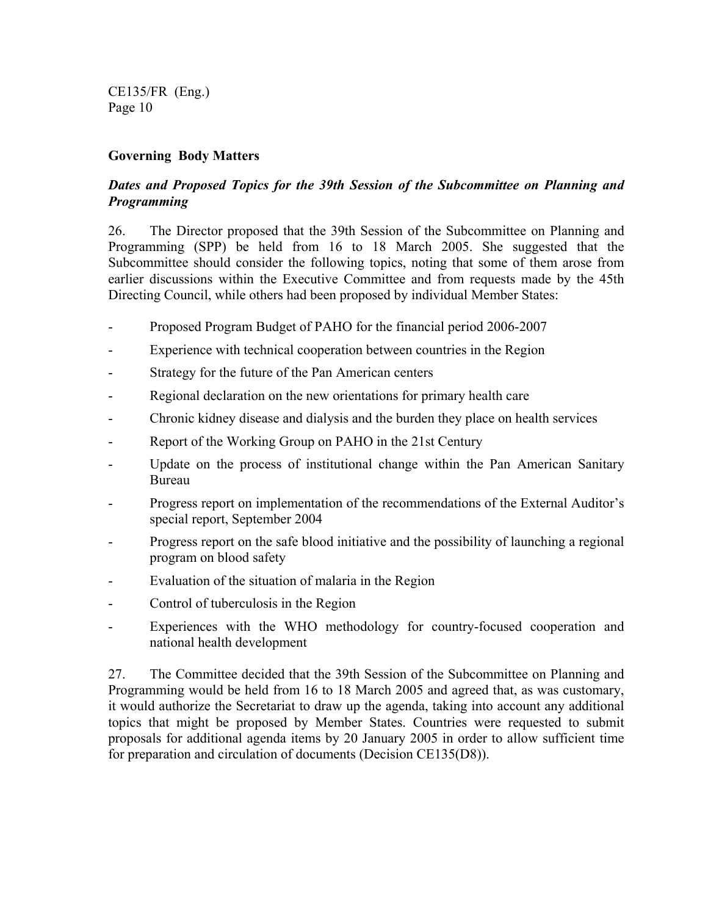### **Governing Body Matters**

## *Dates and Proposed Topics for the 39th Session of the Subcommittee on Planning and Programming*

26. The Director proposed that the 39th Session of the Subcommittee on Planning and Programming (SPP) be held from 16 to 18 March 2005. She suggested that the Subcommittee should consider the following topics, noting that some of them arose from earlier discussions within the Executive Committee and from requests made by the 45th Directing Council, while others had been proposed by individual Member States:

- Proposed Program Budget of PAHO for the financial period 2006-2007
- Experience with technical cooperation between countries in the Region
- Strategy for the future of the Pan American centers
- Regional declaration on the new orientations for primary health care
- Chronic kidney disease and dialysis and the burden they place on health services
- Report of the Working Group on PAHO in the 21st Century
- Update on the process of institutional change within the Pan American Sanitary Bureau
- Progress report on implementation of the recommendations of the External Auditor's special report, September 2004
- Progress report on the safe blood initiative and the possibility of launching a regional program on blood safety
- Evaluation of the situation of malaria in the Region
- Control of tuberculosis in the Region
- Experiences with the WHO methodology for country-focused cooperation and national health development

27. The Committee decided that the 39th Session of the Subcommittee on Planning and Programming would be held from 16 to 18 March 2005 and agreed that, as was customary, it would authorize the Secretariat to draw up the agenda, taking into account any additional topics that might be proposed by Member States. Countries were requested to submit proposals for additional agenda items by 20 January 2005 in order to allow sufficient time for preparation and circulation of documents (Decision CE135(D8)).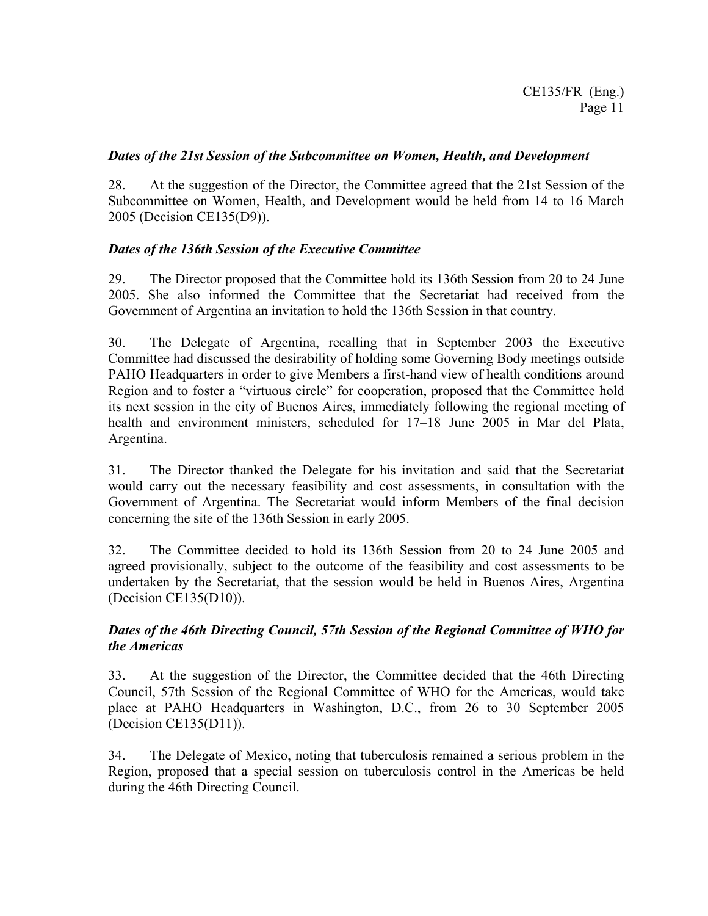## *Dates of the 21st Session of the Subcommittee on Women, Health, and Development*

28. At the suggestion of the Director, the Committee agreed that the 21st Session of the Subcommittee on Women, Health, and Development would be held from 14 to 16 March 2005 (Decision CE135(D9)).

## *Dates of the 136th Session of the Executive Committee*

29. The Director proposed that the Committee hold its 136th Session from 20 to 24 June 2005. She also informed the Committee that the Secretariat had received from the Government of Argentina an invitation to hold the 136th Session in that country.

30. The Delegate of Argentina, recalling that in September 2003 the Executive Committee had discussed the desirability of holding some Governing Body meetings outside PAHO Headquarters in order to give Members a first-hand view of health conditions around Region and to foster a "virtuous circle" for cooperation, proposed that the Committee hold its next session in the city of Buenos Aires, immediately following the regional meeting of health and environment ministers, scheduled for 17–18 June 2005 in Mar del Plata, Argentina.

31. The Director thanked the Delegate for his invitation and said that the Secretariat would carry out the necessary feasibility and cost assessments, in consultation with the Government of Argentina. The Secretariat would inform Members of the final decision concerning the site of the 136th Session in early 2005.

32. The Committee decided to hold its 136th Session from 20 to 24 June 2005 and agreed provisionally, subject to the outcome of the feasibility and cost assessments to be undertaken by the Secretariat, that the session would be held in Buenos Aires, Argentina (Decision CE135(D10)).

## *Dates of the 46th Directing Council, 57th Session of the Regional Committee of WHO for the Americas*

33. At the suggestion of the Director, the Committee decided that the 46th Directing Council, 57th Session of the Regional Committee of WHO for the Americas, would take place at PAHO Headquarters in Washington, D.C., from 26 to 30 September 2005 (Decision CE135(D11)).

34. The Delegate of Mexico, noting that tuberculosis remained a serious problem in the Region, proposed that a special session on tuberculosis control in the Americas be held during the 46th Directing Council.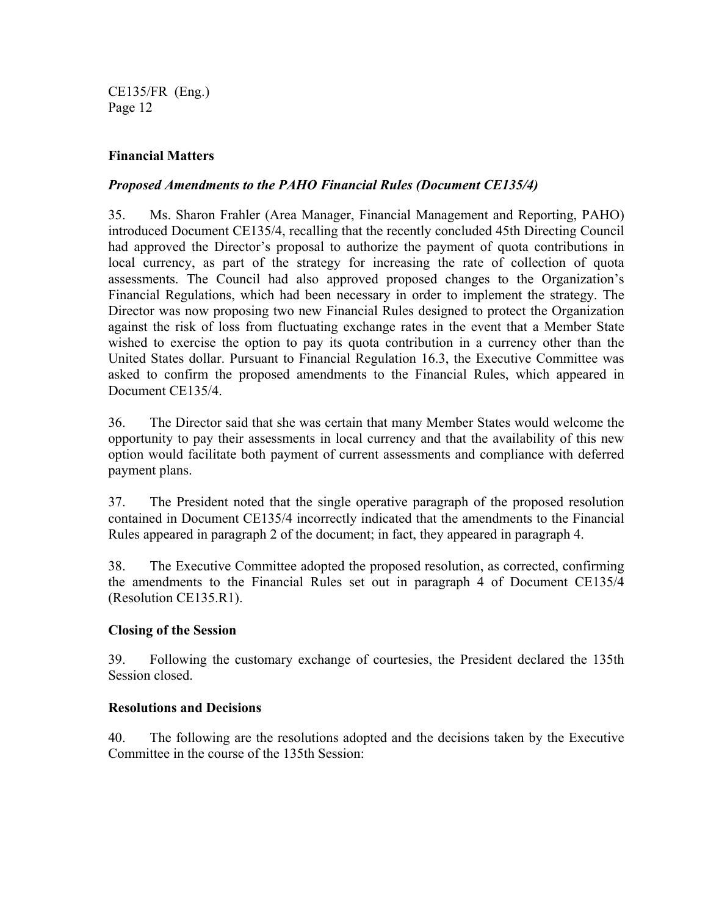## **Financial Matters**

## *Proposed Amendments to the PAHO Financial Rules (Document CE135/4)*

35. Ms. Sharon Frahler (Area Manager, Financial Management and Reporting, PAHO) introduced Document CE135/4, recalling that the recently concluded 45th Directing Council had approved the Director's proposal to authorize the payment of quota contributions in local currency, as part of the strategy for increasing the rate of collection of quota assessments. The Council had also approved proposed changes to the Organization's Financial Regulations, which had been necessary in order to implement the strategy. The Director was now proposing two new Financial Rules designed to protect the Organization against the risk of loss from fluctuating exchange rates in the event that a Member State wished to exercise the option to pay its quota contribution in a currency other than the United States dollar. Pursuant to Financial Regulation 16.3, the Executive Committee was asked to confirm the proposed amendments to the Financial Rules, which appeared in Document CE135/4.

36. The Director said that she was certain that many Member States would welcome the opportunity to pay their assessments in local currency and that the availability of this new option would facilitate both payment of current assessments and compliance with deferred payment plans.

37. The President noted that the single operative paragraph of the proposed resolution contained in Document CE135/4 incorrectly indicated that the amendments to the Financial Rules appeared in paragraph 2 of the document; in fact, they appeared in paragraph 4.

38. The Executive Committee adopted the proposed resolution, as corrected, confirming the amendments to the Financial Rules set out in paragraph 4 of Document CE135/4 (Resolution CE135.R1).

## **Closing of the Session**

39. Following the customary exchange of courtesies, the President declared the 135th Session closed.

#### **Resolutions and Decisions**

40. The following are the resolutions adopted and the decisions taken by the Executive Committee in the course of the 135th Session: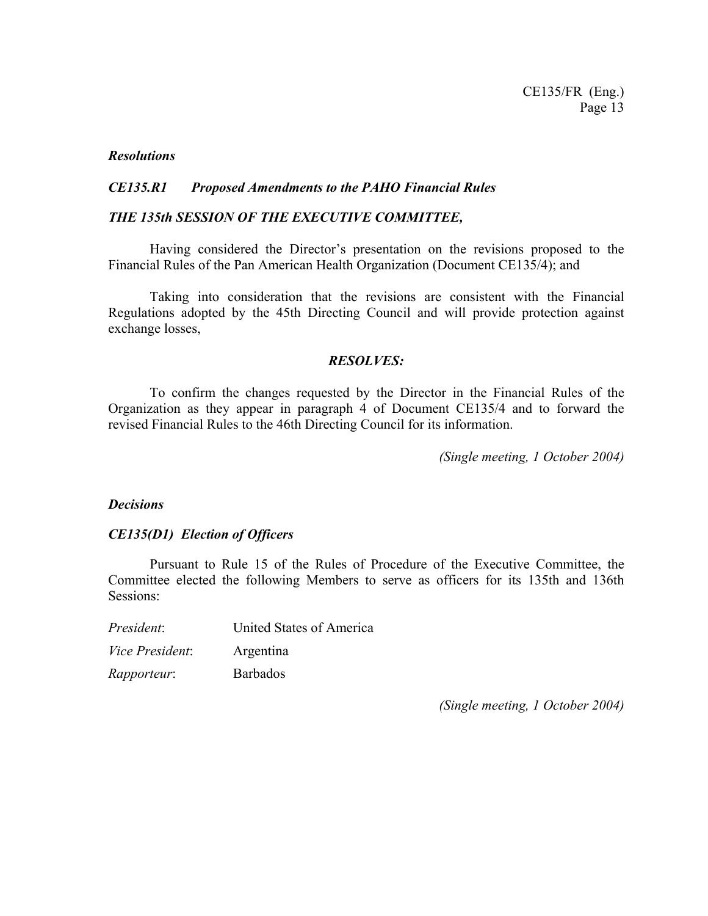#### *Resolutions*

#### *CE135.R1 Proposed Amendments to the PAHO Financial Rules*

#### *THE 135th SESSION OF THE EXECUTIVE COMMITTEE,*

 Having considered the Director's presentation on the revisions proposed to the Financial Rules of the Pan American Health Organization (Document CE135/4); and

 Taking into consideration that the revisions are consistent with the Financial Regulations adopted by the 45th Directing Council and will provide protection against exchange losses,

#### *RESOLVES:*

 To confirm the changes requested by the Director in the Financial Rules of the Organization as they appear in paragraph 4 of Document CE135/4 and to forward the revised Financial Rules to the 46th Directing Council for its information.

*(Single meeting, 1 October 2004)* 

#### *Decisions*

#### *CE135(D1) Election of Officers*

Pursuant to Rule 15 of the Rules of Procedure of the Executive Committee, the Committee elected the following Members to serve as officers for its 135th and 136th Sessions:

| President:         | United States of America |
|--------------------|--------------------------|
| Vice President:    | Argentina                |
| <i>Rapporteur:</i> | <b>Barbados</b>          |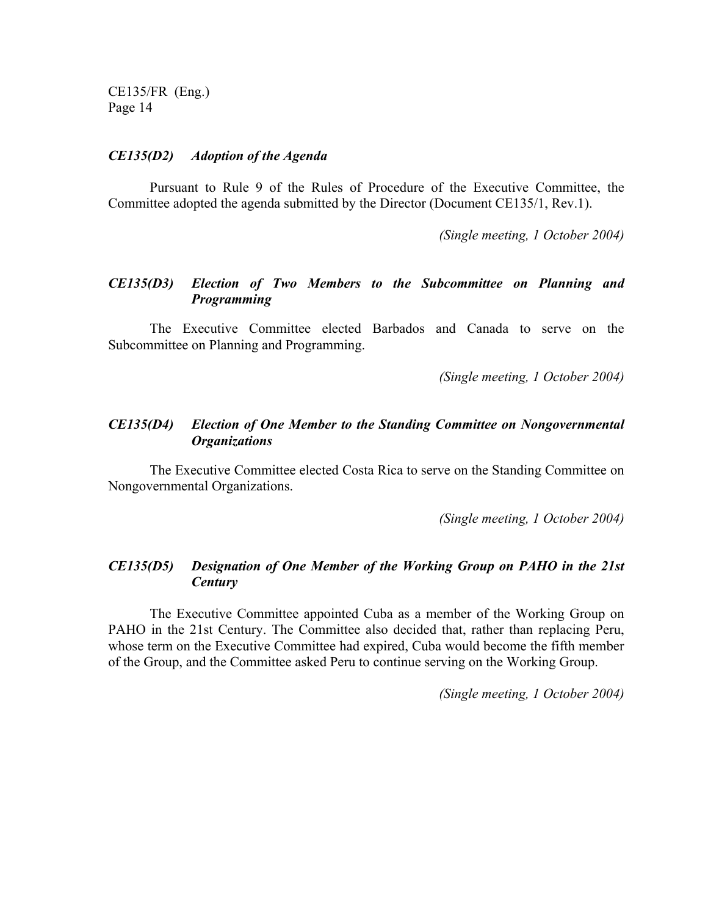#### *CE135(D2) Adoption of the Agenda*

Pursuant to Rule 9 of the Rules of Procedure of the Executive Committee, the Committee adopted the agenda submitted by the Director (Document CE135/1, Rev.1).

*(Single meeting, 1 October 2004)* 

#### *CE135(D3) Election of Two Members to the Subcommittee on Planning and Programming*

The Executive Committee elected Barbados and Canada to serve on the Subcommittee on Planning and Programming.

*(Single meeting, 1 October 2004)* 

#### *CE135(D4) Election of One Member to the Standing Committee on Nongovernmental Organizations*

The Executive Committee elected Costa Rica to serve on the Standing Committee on Nongovernmental Organizations.

*(Single meeting, 1 October 2004)* 

### *CE135(D5) Designation of One Member of the Working Group on PAHO in the 21st Century*

The Executive Committee appointed Cuba as a member of the Working Group on PAHO in the 21st Century. The Committee also decided that, rather than replacing Peru, whose term on the Executive Committee had expired, Cuba would become the fifth member of the Group, and the Committee asked Peru to continue serving on the Working Group.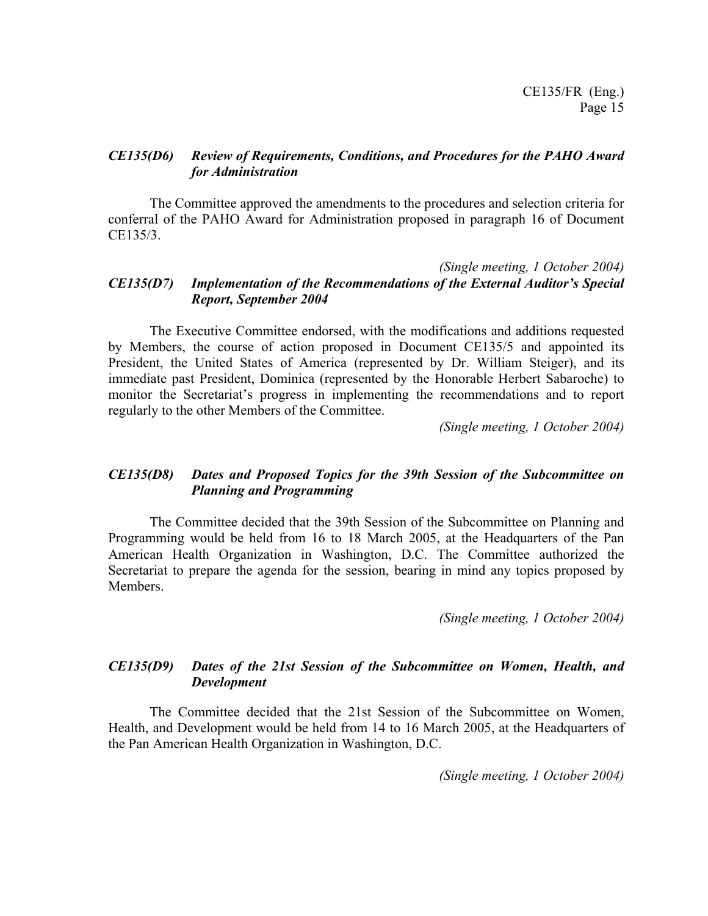#### *CE135(D6) Review of Requirements, Conditions, and Procedures for the PAHO Award for Administration*

The Committee approved the amendments to the procedures and selection criteria for conferral of the PAHO Award for Administration proposed in paragraph 16 of Document CE135/3.

#### *(Single meeting, 1 October 2004) CE135(D7) Implementation of the Recommendations of the External Auditor's Special Report, September 2004*

The Executive Committee endorsed, with the modifications and additions requested by Members, the course of action proposed in Document CE135/5 and appointed its President, the United States of America (represented by Dr. William Steiger), and its immediate past President, Dominica (represented by the Honorable Herbert Sabaroche) to monitor the Secretariat's progress in implementing the recommendations and to report regularly to the other Members of the Committee.

*(Single meeting, 1 October 2004)* 

## *CE135(D8) Dates and Proposed Topics for the 39th Session of the Subcommittee on Planning and Programming*

The Committee decided that the 39th Session of the Subcommittee on Planning and Programming would be held from 16 to 18 March 2005, at the Headquarters of the Pan American Health Organization in Washington, D.C. The Committee authorized the Secretariat to prepare the agenda for the session, bearing in mind any topics proposed by Members.

*(Single meeting, 1 October 2004)* 

#### *CE135(D9) Dates of the 21st Session of the Subcommittee on Women, Health, and Development*

The Committee decided that the 21st Session of the Subcommittee on Women, Health, and Development would be held from 14 to 16 March 2005, at the Headquarters of the Pan American Health Organization in Washington, D.C.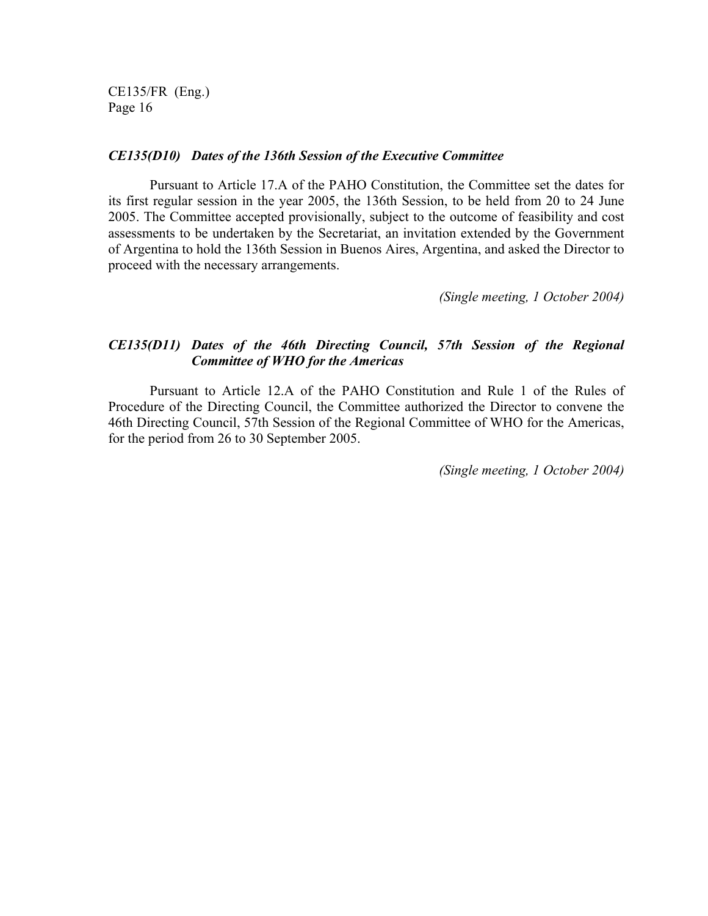#### *CE135(D10) Dates of the 136th Session of the Executive Committee*

Pursuant to Article 17.A of the PAHO Constitution, the Committee set the dates for its first regular session in the year 2005, the 136th Session, to be held from 20 to 24 June 2005. The Committee accepted provisionally, subject to the outcome of feasibility and cost assessments to be undertaken by the Secretariat, an invitation extended by the Government of Argentina to hold the 136th Session in Buenos Aires, Argentina, and asked the Director to proceed with the necessary arrangements.

*(Single meeting, 1 October 2004)* 

## *CE135(D11) Dates of the 46th Directing Council, 57th Session of the Regional Committee of WHO for the Americas*

Pursuant to Article 12.A of the PAHO Constitution and Rule 1 of the Rules of Procedure of the Directing Council, the Committee authorized the Director to convene the 46th Directing Council, 57th Session of the Regional Committee of WHO for the Americas, for the period from 26 to 30 September 2005.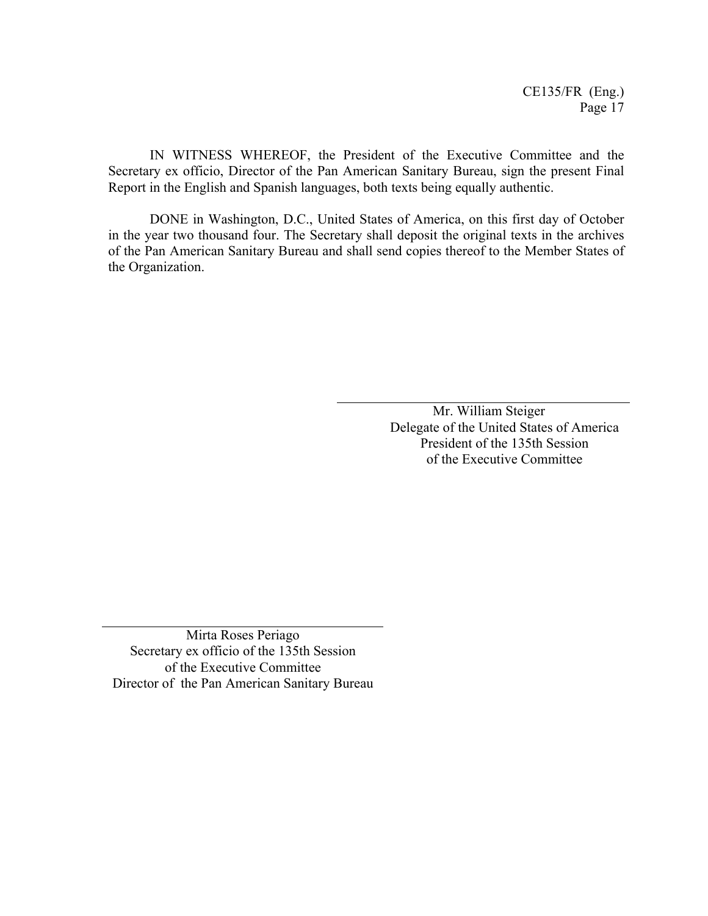IN WITNESS WHEREOF, the President of the Executive Committee and the Secretary ex officio, Director of the Pan American Sanitary Bureau, sign the present Final Report in the English and Spanish languages, both texts being equally authentic.

DONE in Washington, D.C., United States of America, on this first day of October in the year two thousand four. The Secretary shall deposit the original texts in the archives of the Pan American Sanitary Bureau and shall send copies thereof to the Member States of the Organization.

> Mr. William Steiger Delegate of the United States of America President of the 135th Session of the Executive Committee

Mirta Roses Periago Secretary ex officio of the 135th Session of the Executive Committee Director of the Pan American Sanitary Bureau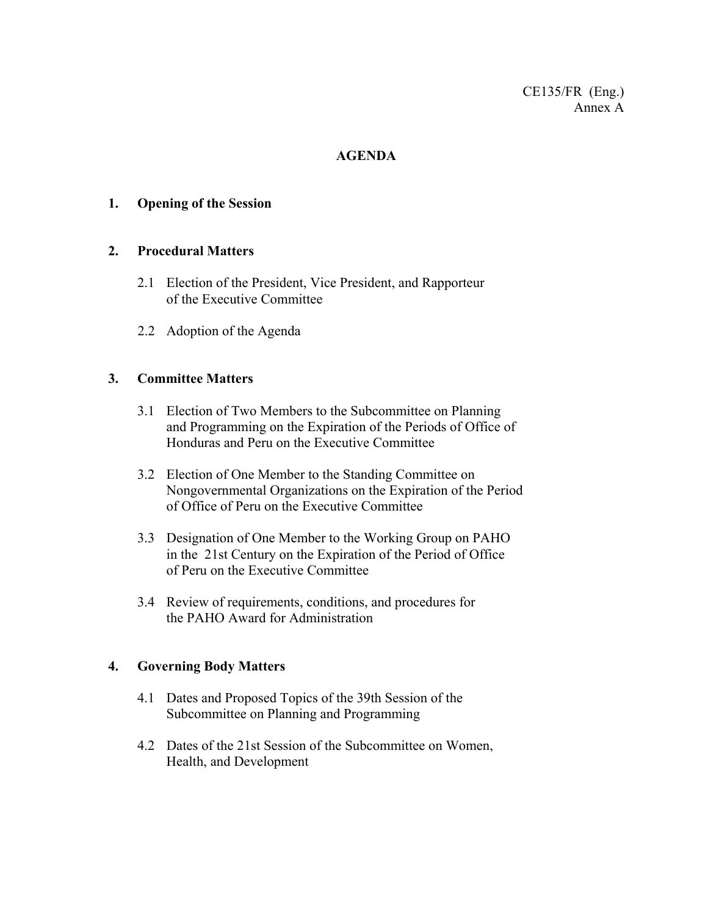## **AGENDA**

## **1. Opening of the Session**

## **2. Procedural Matters**

- 2.1 Election of the President, Vice President, and Rapporteur of the Executive Committee
- 2.2 Adoption of the Agenda

## **3. Committee Matters**

- 3.1 Election of Two Members to the Subcommittee on Planning and Programming on the Expiration of the Periods of Office of Honduras and Peru on the Executive Committee
- 3.2 Election of One Member to the Standing Committee on Nongovernmental Organizations on the Expiration of the Period of Office of Peru on the Executive Committee
- 3.3 Designation of One Member to the Working Group on PAHO in the 21st Century on the Expiration of the Period of Office of Peru on the Executive Committee
- 3.4 Review of requirements, conditions, and procedures for the PAHO Award for Administration

#### **4. Governing Body Matters**

- 4.1 Dates and Proposed Topics of the 39th Session of the Subcommittee on Planning and Programming
- 4.2 Dates of the 21st Session of the Subcommittee on Women, Health, and Development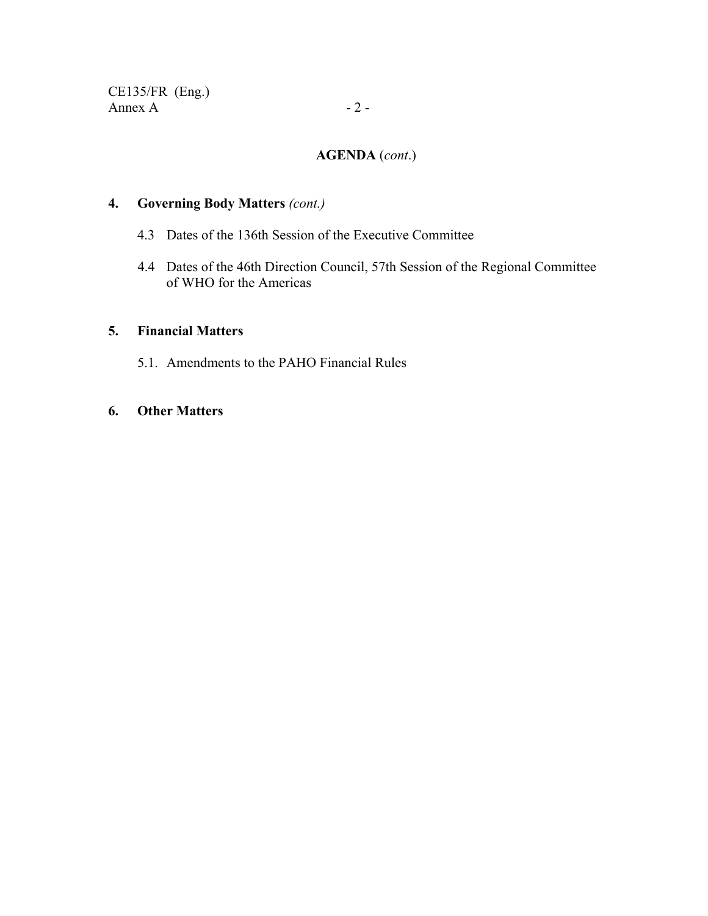## **AGENDA** (*cont*.)

## **4. Governing Body Matters** *(cont.)*

- 4.3 Dates of the 136th Session of the Executive Committee
- 4.4 Dates of the 46th Direction Council, 57th Session of the Regional Committee of WHO for the Americas

## **5. Financial Matters**

5.1. Amendments to the PAHO Financial Rules

## **6. Other Matters**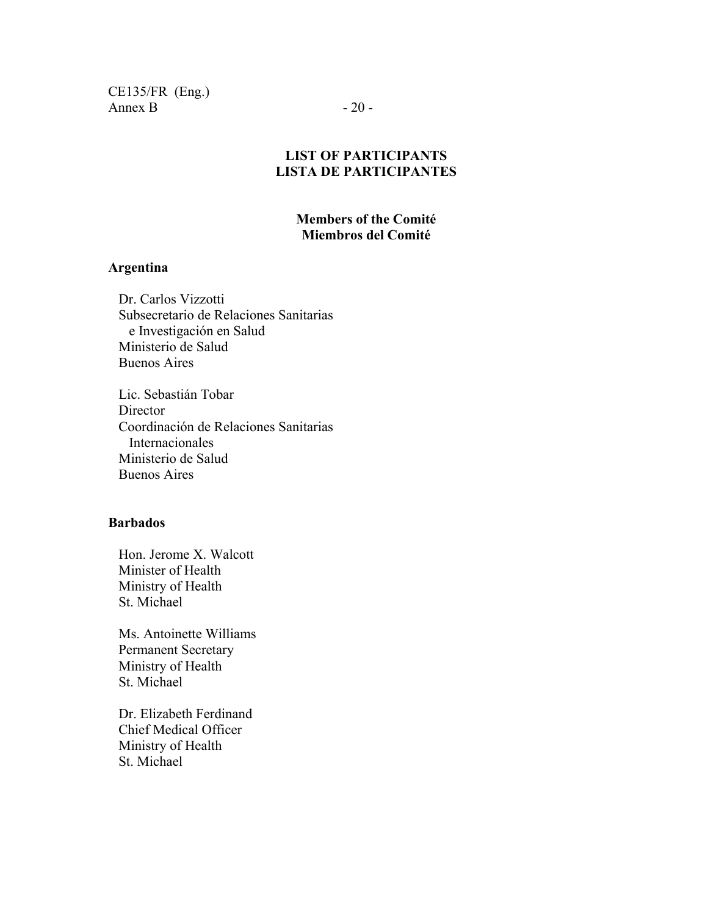CE135/FR (Eng.) Annex B  $-20$  -

## **LIST OF PARTICIPANTS LISTA DE PARTICIPANTES**

### **Members of the Comité Miembros del Comité**

#### **Argentina**

Dr. Carlos Vizzotti Subsecretario de Relaciones Sanitarias e Investigación en Salud Ministerio de Salud Buenos Aires

Lic. Sebastián Tobar Director Coordinación de Relaciones Sanitarias Internacionales Ministerio de Salud Buenos Aires

#### **Barbados**

Hon. Jerome X. Walcott Minister of Health Ministry of Health St. Michael

Ms. Antoinette Williams Permanent Secretary Ministry of Health St. Michael

Dr. Elizabeth Ferdinand Chief Medical Officer Ministry of Health St. Michael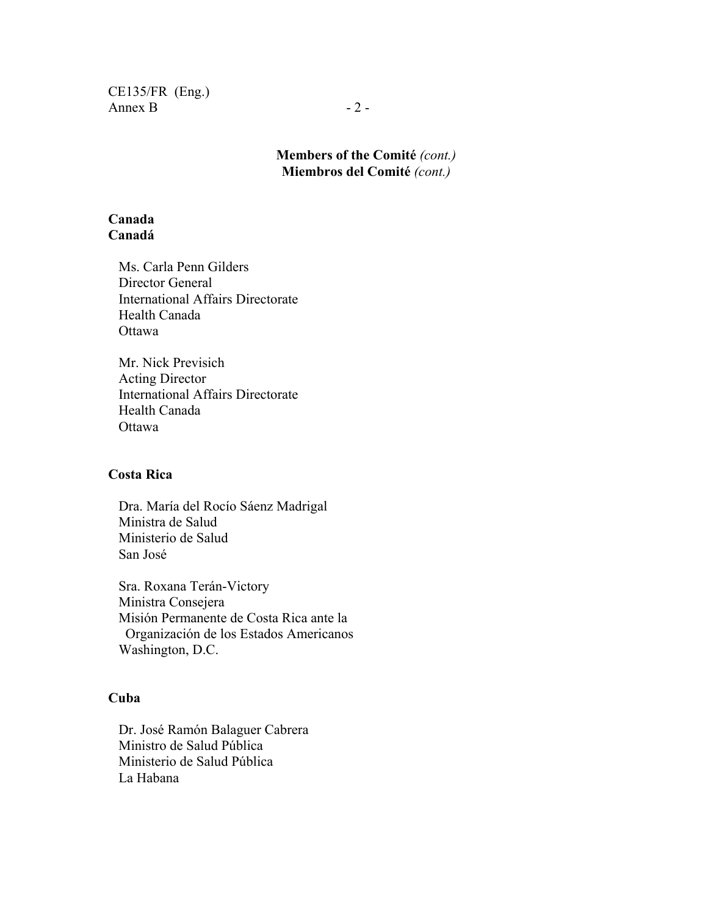CE135/FR (Eng.) Annex B  $-2$  -

> **Members of the Comité** *(cont.)*  **Miembros del Comité** *(cont.)*

#### **Canada Canadá**

Ms. Carla Penn Gilders Director General International Affairs Directorate Health Canada **Ottawa** 

Mr. Nick Previsich Acting Director International Affairs Directorate Health Canada Ottawa

#### **Costa Rica**

Dra. María del Rocío Sáenz Madrigal Ministra de Salud Ministerio de Salud San José

Sra. Roxana Terán-Victory Ministra Consejera Misión Permanente de Costa Rica ante la Organización de los Estados Americanos Washington, D.C.

#### **Cuba**

Dr. José Ramón Balaguer Cabrera Ministro de Salud Pública Ministerio de Salud Pública La Habana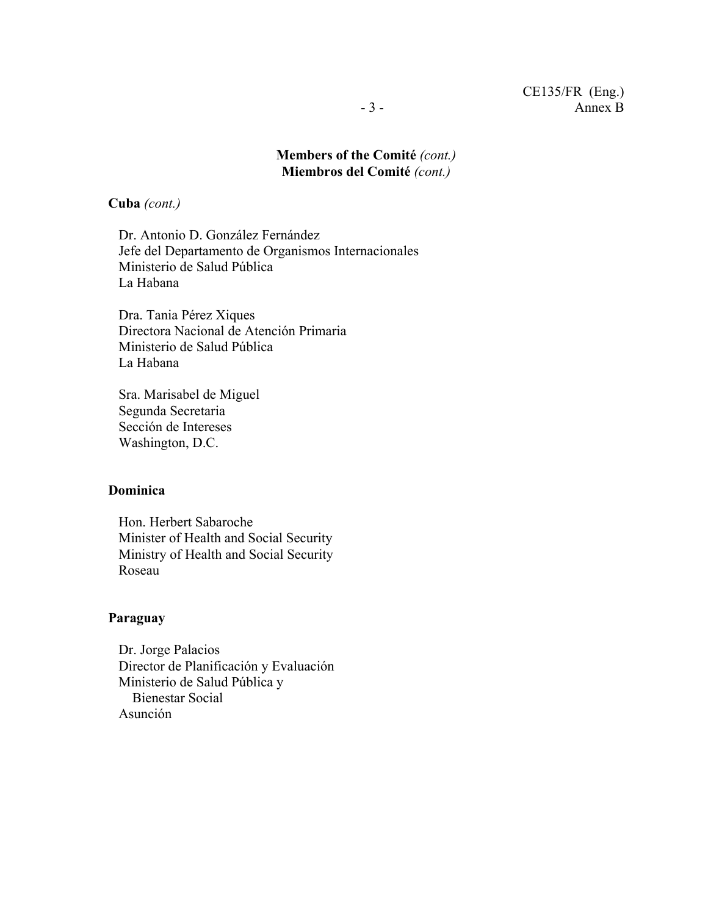## **Members of the Comité** *(cont.)*  **Miembros del Comité** *(cont.)*

**Cuba** *(cont.)*

Dr. Antonio D. González Fernández Jefe del Departamento de Organismos Internacionales Ministerio de Salud Pública La Habana

Dra. Tania Pérez Xiques Directora Nacional de Atención Primaria Ministerio de Salud Pública La Habana

Sra. Marisabel de Miguel Segunda Secretaria Sección de Intereses Washington, D.C.

## **Dominica**

Hon. Herbert Sabaroche Minister of Health and Social Security Ministry of Health and Social Security Roseau

#### **Paraguay**

Dr. Jorge Palacios Director de Planificación y Evaluación Ministerio de Salud Pública y Bienestar Social Asunción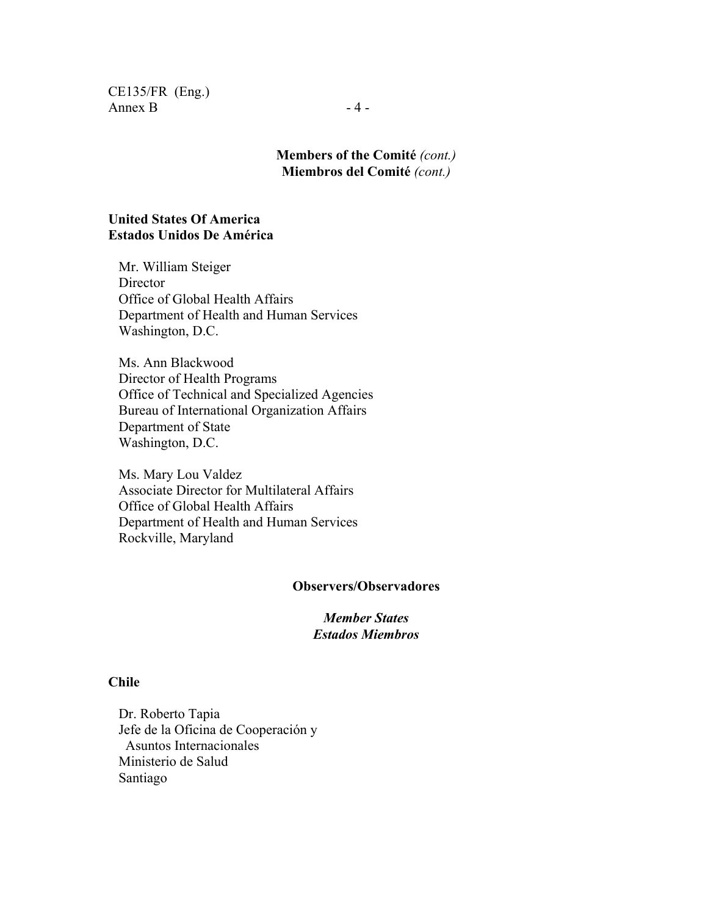CE135/FR (Eng.) Annex B  $-4$  -

## **Members of the Comité** *(cont.)*  **Miembros del Comité** *(cont.)*

#### **United States Of America Estados Unidos De América**

Mr. William Steiger Director Office of Global Health Affairs Department of Health and Human Services Washington, D.C.

Ms. Ann Blackwood Director of Health Programs Office of Technical and Specialized Agencies Bureau of International Organization Affairs Department of State Washington, D.C.

Ms. Mary Lou Valdez Associate Director for Multilateral Affairs Office of Global Health Affairs Department of Health and Human Services Rockville, Maryland

#### **Observers/Observadores**

*Member States Estados Miembros*

#### **Chile**

Dr. Roberto Tapia Jefe de la Oficina de Cooperación y Asuntos Internacionales Ministerio de Salud Santiago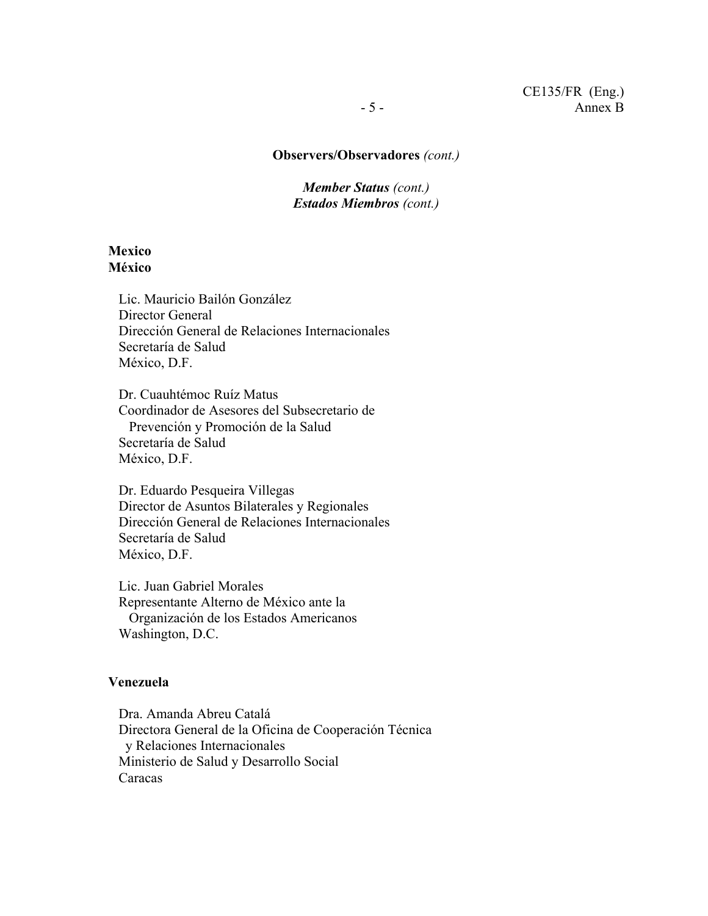#### **Observers/Observadores** *(cont.)*

*Member Status (cont.) Estados Miembros (cont.)* 

#### **Mexico México**

Lic. Mauricio Bailón González Director General Dirección General de Relaciones Internacionales Secretaría de Salud México, D.F.

Dr. Cuauhtémoc Ruíz Matus Coordinador de Asesores del Subsecretario de Prevención y Promoción de la Salud Secretaría de Salud México, D.F.

Dr. Eduardo Pesqueira Villegas Director de Asuntos Bilaterales y Regionales Dirección General de Relaciones Internacionales Secretaría de Salud México, D.F.

Lic. Juan Gabriel Morales Representante Alterno de México ante la Organización de los Estados Americanos Washington, D.C.

#### **Venezuela**

Dra. Amanda Abreu Catalá Directora General de la Oficina de Cooperación Técnica y Relaciones Internacionales Ministerio de Salud y Desarrollo Social Caracas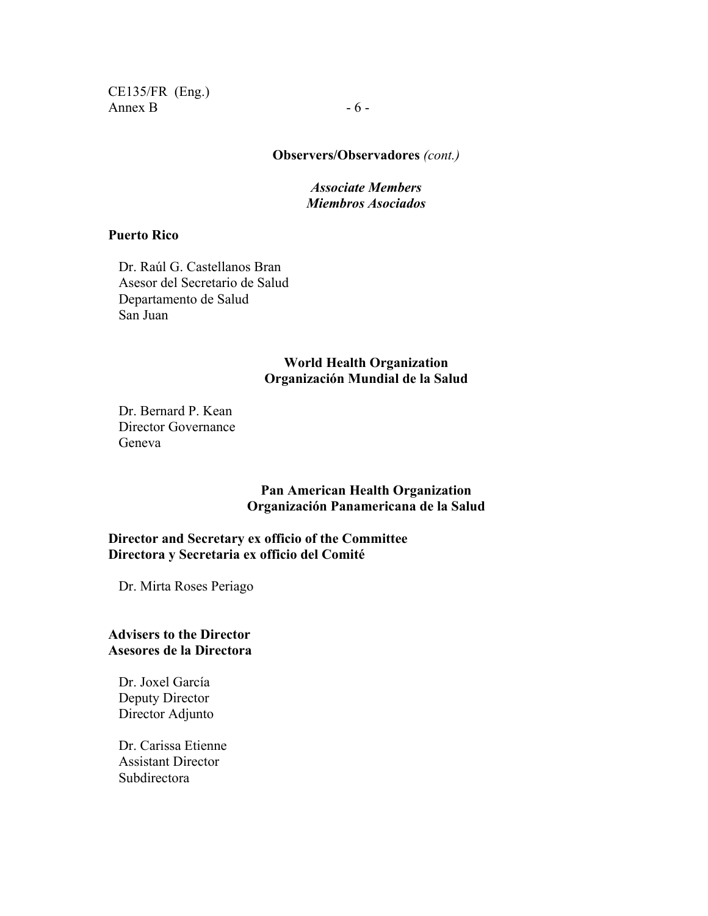CE135/FR (Eng.) Annex B  $-6$  -

## **Observers/Observadores** *(cont.)*

#### *Associate Members Miembros Asociados*

#### **Puerto Rico**

Dr. Raúl G. Castellanos Bran Asesor del Secretario de Salud Departamento de Salud San Juan

#### **World Health Organization Organización Mundial de la Salud**

Dr. Bernard P. Kean Director Governance Geneva

> **Pan American Health Organization Organización Panamericana de la Salud**

### **Director and Secretary ex officio of the Committee Directora y Secretaria ex officio del Comité**

Dr. Mirta Roses Periago

#### **Advisers to the Director Asesores de la Directora**

Dr. Joxel García Deputy Director Director Adjunto

Dr. Carissa Etienne Assistant Director Subdirectora